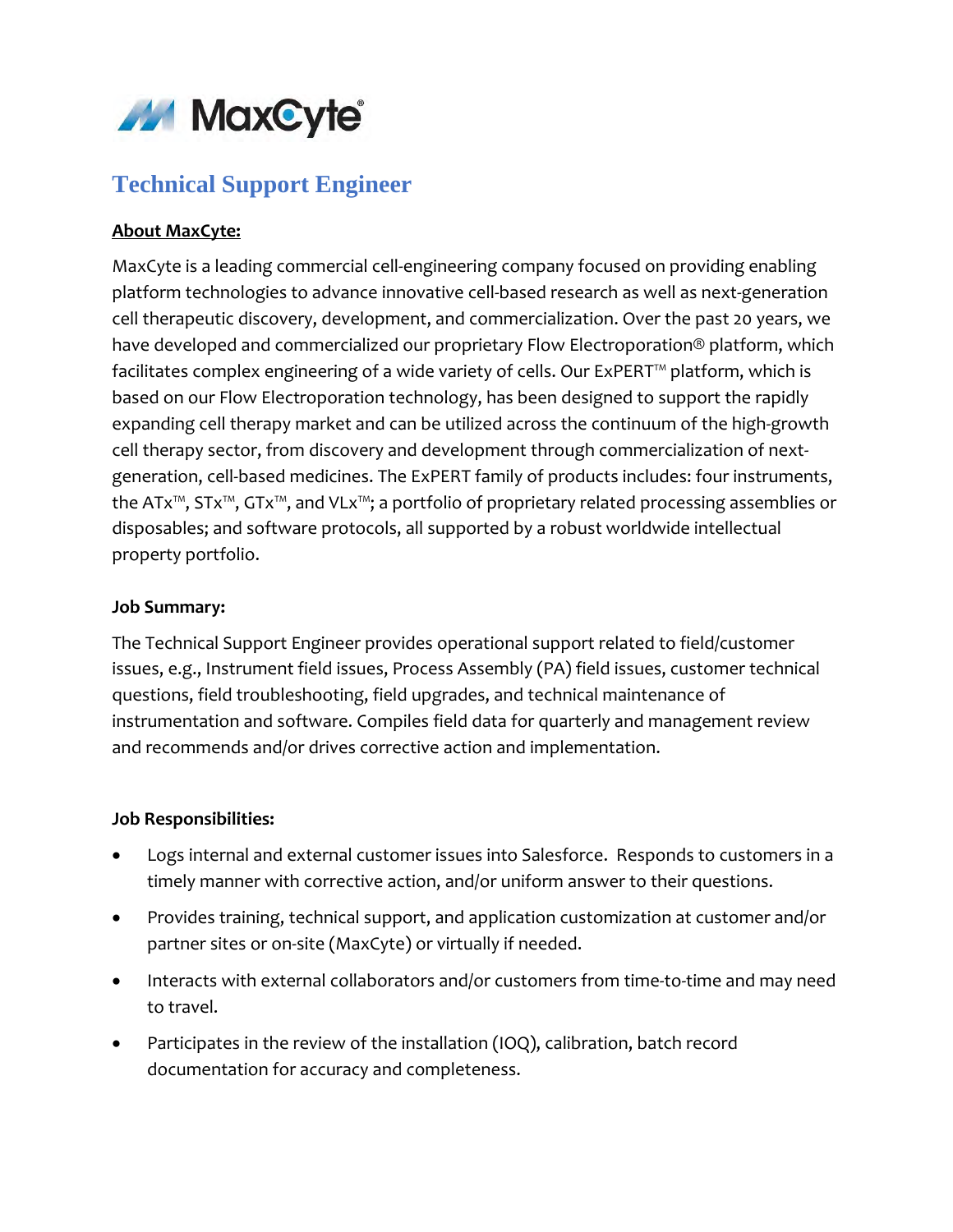

# **Technical Support Engineer**

## **About MaxCyte:**

MaxCyte is a leading commercial cell-engineering company focused on providing enabling platform technologies to advance innovative cell-based research as well as next-generation cell therapeutic discovery, development, and commercialization. Over the past 20 years, we have developed and commercialized our proprietary Flow Electroporation® platform, which facilitates complex engineering of a wide variety of cells. Our ExPERT™ platform, which is based on our Flow Electroporation technology, has been designed to support the rapidly expanding cell therapy market and can be utilized across the continuum of the high-growth cell therapy sector, from discovery and development through commercialization of nextgeneration, cell-based medicines. The ExPERT family of products includes: four instruments, the ATx™, STx™, GTx™, and VLx™; a portfolio of proprietary related processing assemblies or disposables; and software protocols, all supported by a robust worldwide intellectual property portfolio.

#### **Job Summary:**

The Technical Support Engineer provides operational support related to field/customer issues, e.g., Instrument field issues, Process Assembly (PA) field issues, customer technical questions, field troubleshooting, field upgrades, and technical maintenance of instrumentation and software. Compiles field data for quarterly and management review and recommends and/or drives corrective action and implementation.

#### **Job Responsibilities:**

- Logs internal and external customer issues into Salesforce. Responds to customers in a timely manner with corrective action, and/or uniform answer to their questions.
- Provides training, technical support, and application customization at customer and/or partner sites or on-site (MaxCyte) or virtually if needed.
- Interacts with external collaborators and/or customers from time-to-time and may need to travel.
- Participates in the review of the installation (IOQ), calibration, batch record documentation for accuracy and completeness.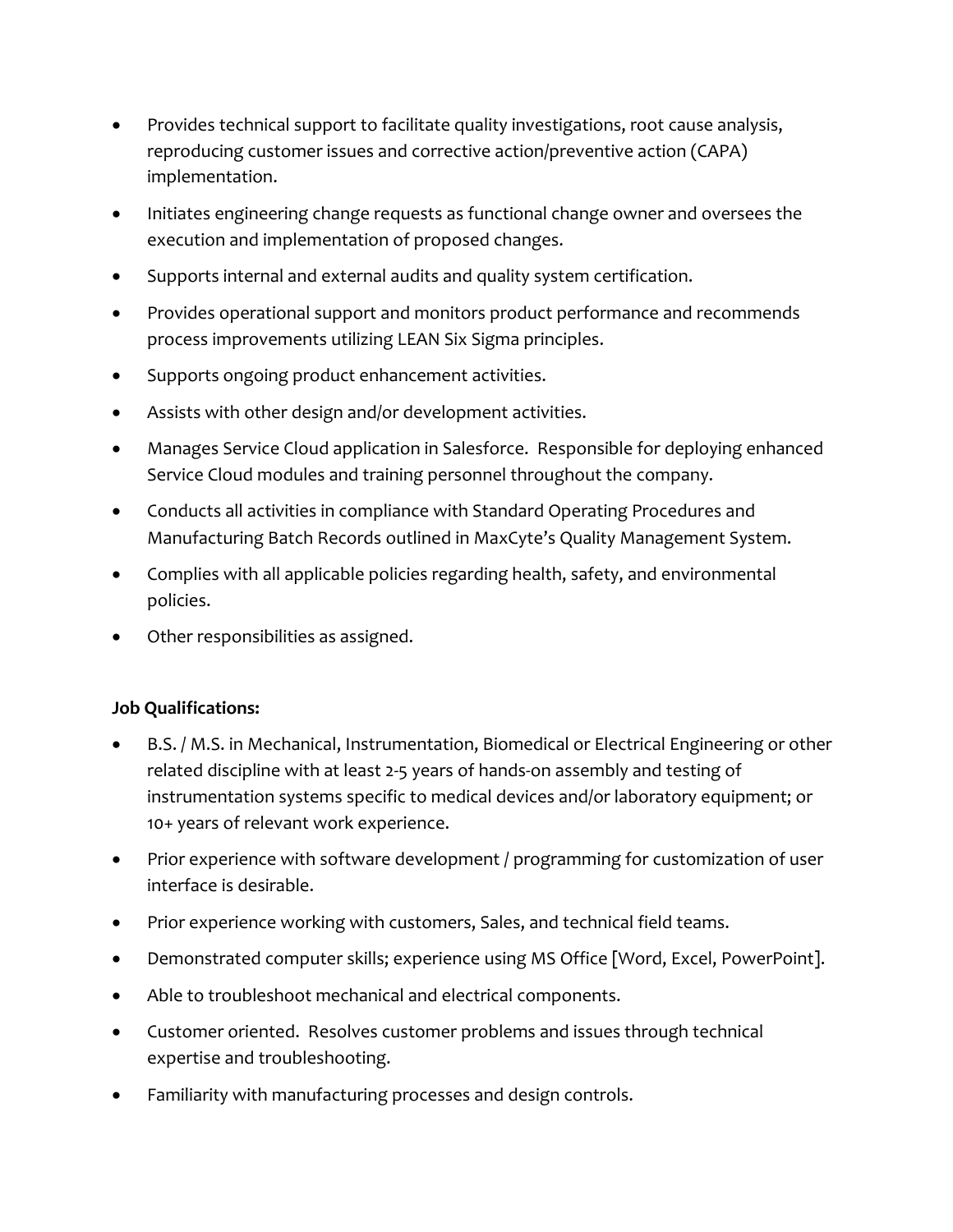- Provides technical support to facilitate quality investigations, root cause analysis, reproducing customer issues and corrective action/preventive action (CAPA) implementation.
- Initiates engineering change requests as functional change owner and oversees the execution and implementation of proposed changes.
- Supports internal and external audits and quality system certification.
- Provides operational support and monitors product performance and recommends process improvements utilizing LEAN Six Sigma principles.
- Supports ongoing product enhancement activities.
- Assists with other design and/or development activities.
- Manages Service Cloud application in Salesforce. Responsible for deploying enhanced Service Cloud modules and training personnel throughout the company.
- Conducts all activities in compliance with Standard Operating Procedures and Manufacturing Batch Records outlined in MaxCyte's Quality Management System.
- Complies with all applicable policies regarding health, safety, and environmental policies.
- Other responsibilities as assigned.

### **Job Qualifications:**

- B.S. / M.S. in Mechanical, Instrumentation, Biomedical or Electrical Engineering or other related discipline with at least 2-5 years of hands-on assembly and testing of instrumentation systems specific to medical devices and/or laboratory equipment; or 10+ years of relevant work experience.
- Prior experience with software development / programming for customization of user interface is desirable.
- Prior experience working with customers, Sales, and technical field teams.
- Demonstrated computer skills; experience using MS Office [Word, Excel, PowerPoint].
- Able to troubleshoot mechanical and electrical components.
- Customer oriented. Resolves customer problems and issues through technical expertise and troubleshooting.
- Familiarity with manufacturing processes and design controls.